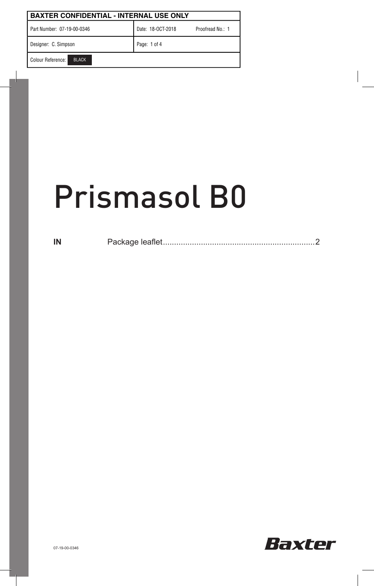| <b>BAXTER CONFIDENTIAL - INTERNAL USE ONLY</b> |                   |                  |
|------------------------------------------------|-------------------|------------------|
| Part Number: 07-19-00-0346                     | Date: 18-OCT-2018 | Proofread No.: 1 |
| Designer: C. Simpson                           | Page: 1 of 4      |                  |
| Colour Reference:<br><b>BLACK</b>              |                   |                  |

# Prismasol B0

| IN |  |  |
|----|--|--|
|----|--|--|

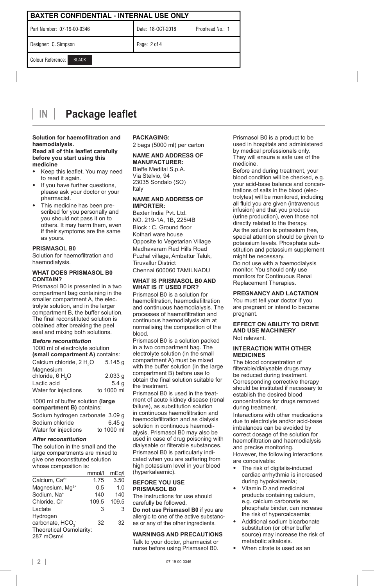| <b>BAXTER CONFIDENTIAL - INTERNAL USE ONLY</b> |                                       |
|------------------------------------------------|---------------------------------------|
| Part Number: 07-19-00-0346                     | Date: 18-OCT-2018<br>Proofread No.: 1 |
| Designer: C. Simpson                           | Page: 2 of 4                          |
| Colour Reference:<br><b>BLACK</b>              |                                       |

#### **Package leaflet IN**

#### **Solution for haemofiltration and haemodialysis.**

#### **Read all of this leaflet carefully before you start using this medicine**

- Keep this leaflet. You may need to read it again.
- If you have further questions, please ask your doctor or your pharmacist.
- This medicine has been prescribed for you personally and you should not pass it on to others. It may harm them, even if their symptoms are the same as yours.

# **PRISMASOL B0**

Solution for haemofiltration and haemodialysis.

#### **WHAT DOES PRISMASOL B0 CONTAIN?**

Prismasol B0 is presented in a two compartment bag containing in the smaller compartment A, the electrolyte solution, and in the larger compartment B, the buffer solution. The final reconstituted solution is obtained after breaking the peel seal and mixing both solutions.

# *Before reconstitution*

| 1000 ml of electrolyte solution<br>(small compartment A) contains: |                  |  |
|--------------------------------------------------------------------|------------------|--|
|                                                                    |                  |  |
| Calcium chloride, 2 H <sub>2</sub> O                               | 5.145q           |  |
|                                                                    |                  |  |
| Magnesium                                                          |                  |  |
| chloride, 6 H <sub>2</sub> O                                       | 2.033q           |  |
| Lactic acid                                                        | 5.4 <sub>q</sub> |  |
|                                                                    |                  |  |
| Water for injections                                               | to 1000 ml       |  |
|                                                                    |                  |  |

# 1000 ml of buffer solution **(large compartment B)** contains:

| Sodium hydrogen carbonate 3.09 g |            |  |
|----------------------------------|------------|--|
| Sodium chloride                  | 6.45 g     |  |
| Water for injections             | to 1000 ml |  |

# *After reconstitution*

The solution in the small and the large compartments are mixed to give one reconstituted solution whose composition is:

|                                       | mmol/l | mEa/l |
|---------------------------------------|--------|-------|
| Calcium, Ca <sup>2+</sup>             | 1.75   | 3.50  |
| Magnesium, Mg <sup>2+</sup>           | 0.5    | 1.0   |
| Sodium, Na <sup>+</sup>               | 140    | 140   |
| Chloride, Cl-                         | 109.5  | 109.5 |
| Lactate                               | 3      | 3     |
| Hydrogen                              |        |       |
| carbonate, HCO <sub>2</sub>           | 32     | 32    |
| Theoretical Osmolarity:<br>287 mOsm/l |        |       |

**PACKAGING:**

# 2 bags (5000 ml) per carton

# **NAME AND ADDRESS OF MANUFACTURER:**

Bieffe Medital S.p.A. Via Stelvio, 94 23035 Sondalo (SO) Italy

#### **NAME AND ADDRESS OF IMPORTER:**

Baxter India Pvt. Ltd. NO. 219-1A, 1B, 225/4B Block : C, Ground floor Kothari ware house Opposite to Vegetarian Village Madhavaram Red Hills Road Puzhal village, Ambattur Taluk, Tiruvallur District Chennai 600060 TAMILNADU

#### **WHAT IS PRISMASOL B0 AND WHAT IS IT USED FOR?**

Prismasol B0 is a solution for haemofiltration, haemodiafiltration and continuous haemodialysis. The processes of haemofiltration and continuous haemodialysis aim at normalising the composition of the blood.

Prismasol B0 is a solution packed in a two compartment bag. The electrolyte solution (in the small compartment A) must be mixed with the buffer solution (in the large compartment B) before use to obtain the final solution suitable for the treatment.

Prismasol B0 is used in the treatment of acute kidney disease (renal failure), as substitution solution in continuous haemofiltration and haemodiafiltration and as dialysis solution in continuous haemodialysis. Prismasol B0 may also be used in case of drug poisoning with dialysable or filterable substances. Prismasol B0 is particularly indicated when you are suffering from high potassium level in your blood (hyperkalaemic).

#### **BEFORE YOU USE PRISMASOL B0**

The instructions for use should carefully be followed.

**Do not use Prismasol B0** if you are allergic to one of the active substances or any of the other ingredients.

# **WARNINGS AND PRECAUTIONS**

Talk to your doctor, pharmacist or nurse before using Prismasol B0.

Prismasol B0 is a product to be used in hospitals and administered by medical professionals only. They will ensure a safe use of the medicine.

Before and during treatment, your blood condition will be checked, e.g. your acid-base balance and concentrations of salts in the blood (electrolytes) will be monitored, including all fluid you are given (intravenous infusion) and that you produce (urine production), even those not directly related to the therapy. As the solution is potassium free, special attention should be given to potassium levels. Phosphate substitution and potassium supplement might be necessary.

Do not use with a haemodialysis monitor. You should only use monitors for Continuous Renal Replacement Therapies.

# **PREGNANCY AND LACTATION**

You must tell your doctor if you are pregnant or intend to become pregnant.

#### **EFFECT ON ABILITY TO DRIVE AND USE MACHINERY** Not relevant.

# **INTERACTION WITH OTHER MEDICINES**

The blood concentration of filterable/dialysable drugs may be reduced during treatment. Corresponding corrective therapy should be instituted if necessary to establish the desired blood concentrations for drugs removed during treatment.

Interactions with other medications due to electrolyte and/or acid-base imbalances can be avoided by correct dosage of the solution for haemofiltration and haemodialysis and precise monitoring. However, the following interactions

are conceivable:

- The risk of digitalis-induced cardiac arrhythmia is increased during hypokalaemia;
- Vitamin D and medicinal products containing calcium, e.g. calcium carbonate as phosphate binder, can increase the risk of hypercalcaemia;
- Additional sodium bicarbonate substitution (or other buffer source) may increase the risk of metabolic alkalosis.
- When citrate is used as an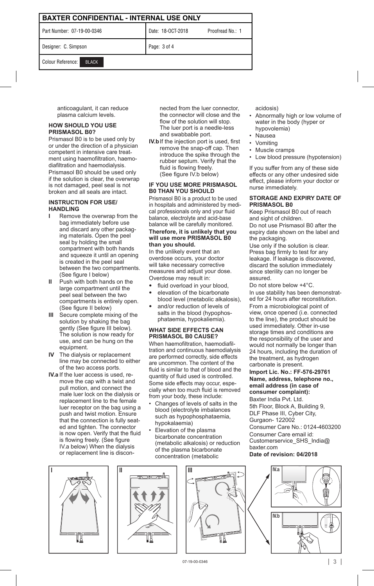| <b>BAXTER CONFIDENTIAL - INTERNAL USE ONLY</b> |                   |                  |
|------------------------------------------------|-------------------|------------------|
| Part Number: 07-19-00-0346                     | Date: 18-OCT-2018 | Proofread No.: 1 |
| Designer: C. Simpson                           | Page: 3 of 4      |                  |
| Colour Reference:<br><b>BLACK</b>              |                   |                  |

anticoagulant, it can reduce plasma calcium levels.

# **HOW SHOULD YOU USE PRISMASOL B0?**

Prismasol B0 is to be used only by or under the direction of a physician competent in intensive care treatment using haemofiltration, haemodiafiltration and haemodialysis. Prismasol B0 should be used only if the solution is clear, the overwrap is not damaged, peel seal is not broken and all seals are intact.

#### **INSTRUCTION FOR USE/ HANDLING**

- **I** Remove the overwrap from the bag immediately before use and discard any other packaging materials. Open the peel seal by holding the small compartment with both hands and squeeze it until an opening is created in the peel seal between the two compartments. (See figure I below)
- **II** Push with both hands on the large compartment until the peel seal between the two compartments is entirely open. (See figure II below)
- Secure complete mixing of the solution by shaking the bag gently (See figure III below). The solution is now ready for use, and can be hung on the equipment.
- The dialysis or replacement line may be connected to either of the two access ports.
- **IV.a** If the luer access is used, remove the cap with a twist and pull motion, and connect the male luer lock on the dialysis or replacement line to the female luer receptor on the bag using a push and twist motion. Ensure that the connection is fully seated and tighten. The connector is now open. Verify that the fluid is flowing freely. (See figure IV.a below) When the dialysis or replacement line is discon-

nected from the luer connector, the connector will close and the flow of the solution will stop. The luer port is a needle-less and swabbable port.

**IV.b**If the injection port is used, first remove the snap-off cap. Then introduce the spike through the rubber septum. Verify that the fluid is flowing freely. (See figure IV.b below)

## **IF YOU USE MORE PRISMASOL B0 THAN YOU SHOULD**

Prismasol B0 is a product to be used in hospitals and administered by medical professionals only and your fluid balance, electrolyte and acid-base balance will be carefully monitored.

# **Therefore, it is unlikely that you will use more PRISMASOL B0 than you should.**

In the unlikely event that an overdose occurs, your doctor will take necessary corrective measures and adjust your dose. Overdose may result in:

- fluid overload in your blood,
- elevation of the bicarbonate blood level (metabolic alkalosis),
- and/or reduction of levels of salts in the blood (hypophosphataemia, hypokaliemia).

# **WHAT SIDE EFFECTS CAN PRISMASOL B0 CAUSE?**

When haemofiltration, haemodiafiltration and continuous haemodialysis are performed correctly, side effects are uncommon. The content of the fluid is similar to that of blood and the quantity of fluid used is controlled. Some side effects may occur, especially when too much fluid is removed from your body, these include:

- Changes of levels of salts in the blood (electrolyte imbalances such as hypophosphataemia, hypokalaemia)
- Elevation of the plasma bicarbonate concentration (metabolic alkalosis) or reduction of the plasma bicarbonate concentration (metabolic

 acidosis)

- Abnormally high or low volume of water in the body (hyper or hypovolemia)
- • Nausea
- **Vomiting**
- • Muscle cramps
- Low blood pressure (hypotension)

If you suffer from any of these side effects or any other undesired side effect, please inform your doctor or nurse immediately.

## **STORAGE AND EXPIRY DATE OF PRISMASOL B0**

Keep Prismasol B0 out of reach and sight of children.

Do not use Prismasol B0 after the expiry date shown on the label and the packaging.

Use only if the solution is clear. Press bag firmly to test for any leakage. If leakage is discovered, discard the solution immediately since sterility can no longer be assured.

Do not store below +4°C.

In use stability has been demonstrated for 24 hours after reconstitution. From a microbiological point of view, once opened (i.e. connected to the line), the product should be used immediately. Other in-use storage times and conditions are the responsibility of the user and would not normally be longer than 24 hours, including the duration of the treatment, as hydrogen carbonate is present.

# **Import Lic. No.: FF-576-29761 Name, address, telephone no., email address (in case of consumer complaint):**

Baxter India Pvt. Ltd. 5th Floor, Block A, Building 9, DLF Phase III, Cyber City, Gurgaon- 122002 Consumer Care No.: 0124-4603200

Consumer Care email id: Customerservice\_SHS\_India@ baxter.com

**Date of revision: 04/2018**